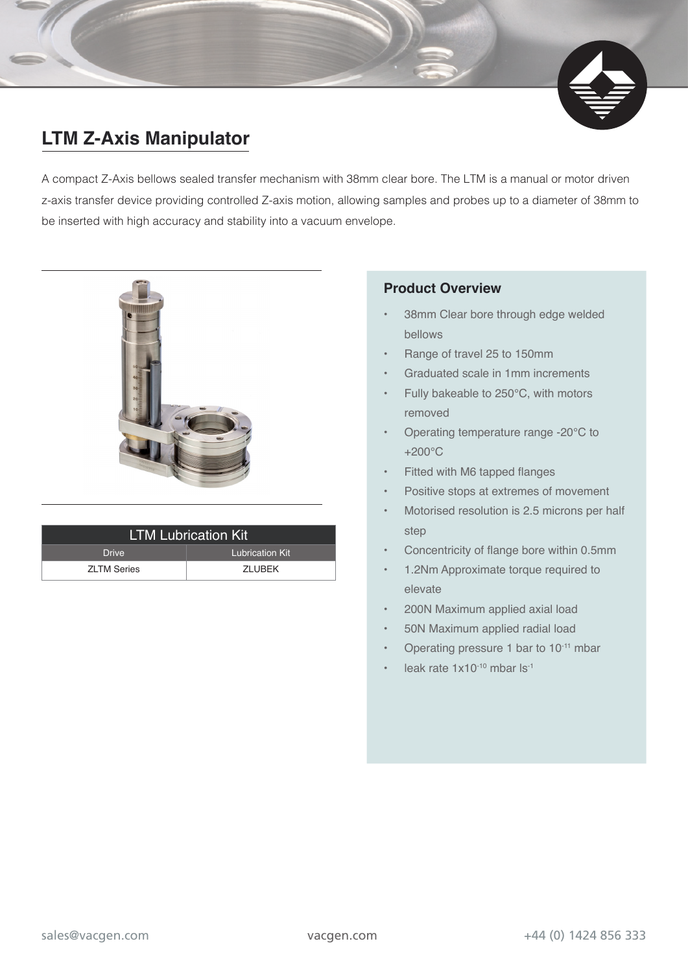## **LTM Z-Axis Manipulator**

A compact Z-Axis bellows sealed transfer mechanism with 38mm clear bore. The LTM is a manual or motor driven z-axis transfer device providing controlled Z-axis motion, allowing samples and probes up to a diameter of 38mm to be inserted with high accuracy and stability into a vacuum envelope.



| <b>LTM Lubrication Kit</b> |                 |  |  |  |  |  |  |
|----------------------------|-----------------|--|--|--|--|--|--|
| <b>Drive</b>               | Lubrication Kit |  |  |  |  |  |  |
| <b>ZLTM Series</b>         | <b>7I UBFK</b>  |  |  |  |  |  |  |

## **Product Overview**

- 38mm Clear bore through edge welded bellows
- Range of travel 25 to 150mm
- Graduated scale in 1mm increments
- Fully bakeable to 250°C, with motors removed
- Operating temperature range -20°C to +200°C
- Fitted with M6 tapped flanges
- Positive stops at extremes of movement
- Motorised resolution is 2.5 microns per half step
- Concentricity of flange bore within 0.5mm
- 1.2Nm Approximate torque required to elevate
- 200N Maximum applied axial load
- 50N Maximum applied radial load
- Operating pressure 1 bar to 10-11 mbar
- leak rate  $1x10^{-10}$  mbar ls<sup>-1</sup>